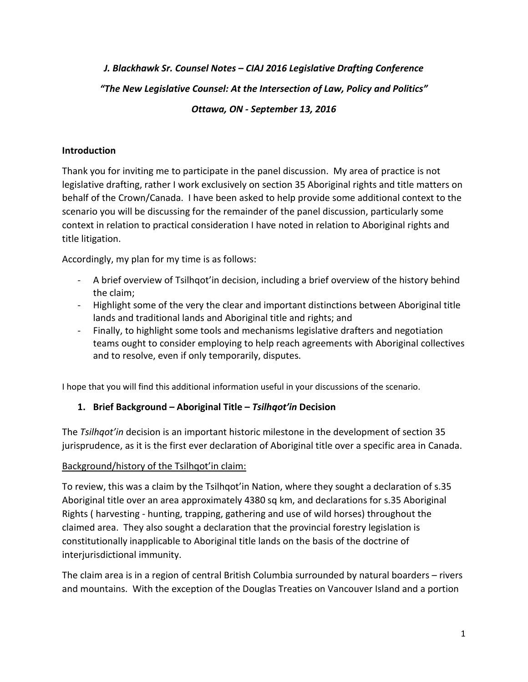# *J. Blackhawk Sr. Counsel Notes – CIAJ 2016 Legislative Drafting Conference "The New Legislative Counsel: At the Intersection of Law, Policy and Politics" Ottawa, ON - September 13, 2016*

## **Introduction**

Thank you for inviting me to participate in the panel discussion. My area of practice is not legislative drafting, rather I work exclusively on section 35 Aboriginal rights and title matters on behalf of the Crown/Canada. I have been asked to help provide some additional context to the scenario you will be discussing for the remainder of the panel discussion, particularly some context in relation to practical consideration I have noted in relation to Aboriginal rights and title litigation.

Accordingly, my plan for my time is as follows:

- A brief overview of Tsilhqot'in decision, including a brief overview of the history behind the claim;
- Highlight some of the very the clear and important distinctions between Aboriginal title lands and traditional lands and Aboriginal title and rights; and
- Finally, to highlight some tools and mechanisms legislative drafters and negotiation teams ought to consider employing to help reach agreements with Aboriginal collectives and to resolve, even if only temporarily, disputes.

I hope that you will find this additional information useful in your discussions of the scenario.

# **1. Brief Background – Aboriginal Title –** *Tsilhqot'in* **Decision**

The *Tsilhqot'in* decision is an important historic milestone in the development of section 35 jurisprudence, as it is the first ever declaration of Aboriginal title over a specific area in Canada.

# Background/history of the Tsilhqot'in claim:

To review, this was a claim by the Tsilhqot'in Nation, where they sought a declaration of s.35 Aboriginal title over an area approximately 4380 sq km, and declarations for s.35 Aboriginal Rights ( harvesting - hunting, trapping, gathering and use of wild horses) throughout the claimed area. They also sought a declaration that the provincial forestry legislation is constitutionally inapplicable to Aboriginal title lands on the basis of the doctrine of interjurisdictional immunity.

The claim area is in a region of central British Columbia surrounded by natural boarders – rivers and mountains. With the exception of the Douglas Treaties on Vancouver Island and a portion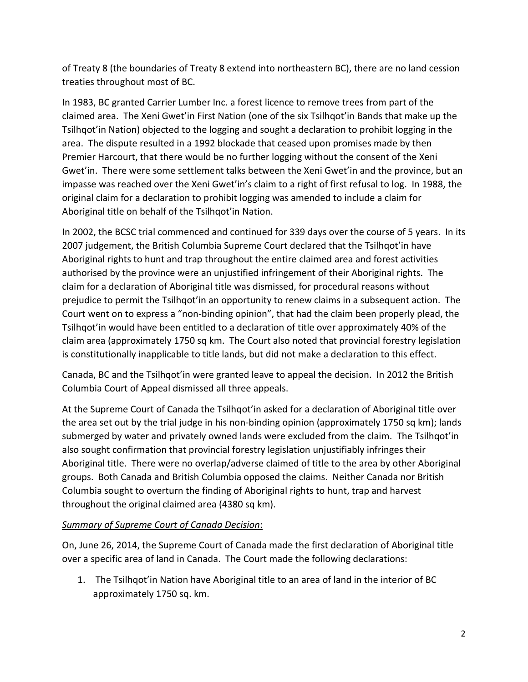of Treaty 8 (the boundaries of Treaty 8 extend into northeastern BC), there are no land cession treaties throughout most of BC.

In 1983, BC granted Carrier Lumber Inc. a forest licence to remove trees from part of the claimed area. The Xeni Gwet'in First Nation (one of the six Tsilhqot'in Bands that make up the Tsilhqot'in Nation) objected to the logging and sought a declaration to prohibit logging in the area. The dispute resulted in a 1992 blockade that ceased upon promises made by then Premier Harcourt, that there would be no further logging without the consent of the Xeni Gwet'in. There were some settlement talks between the Xeni Gwet'in and the province, but an impasse was reached over the Xeni Gwet'in's claim to a right of first refusal to log. In 1988, the original claim for a declaration to prohibit logging was amended to include a claim for Aboriginal title on behalf of the Tsilhqot'in Nation.

In 2002, the BCSC trial commenced and continued for 339 days over the course of 5 years. In its 2007 judgement, the British Columbia Supreme Court declared that the Tsilhqot'in have Aboriginal rights to hunt and trap throughout the entire claimed area and forest activities authorised by the province were an unjustified infringement of their Aboriginal rights. The claim for a declaration of Aboriginal title was dismissed, for procedural reasons without prejudice to permit the Tsilhqot'in an opportunity to renew claims in a subsequent action. The Court went on to express a "non-binding opinion", that had the claim been properly plead, the Tsilhqot'in would have been entitled to a declaration of title over approximately 40% of the claim area (approximately 1750 sq km. The Court also noted that provincial forestry legislation is constitutionally inapplicable to title lands, but did not make a declaration to this effect.

Canada, BC and the Tsilhqot'in were granted leave to appeal the decision. In 2012 the British Columbia Court of Appeal dismissed all three appeals.

At the Supreme Court of Canada the Tsilhqot'in asked for a declaration of Aboriginal title over the area set out by the trial judge in his non-binding opinion (approximately 1750 sq km); lands submerged by water and privately owned lands were excluded from the claim. The Tsilhqot'in also sought confirmation that provincial forestry legislation unjustifiably infringes their Aboriginal title. There were no overlap/adverse claimed of title to the area by other Aboriginal groups. Both Canada and British Columbia opposed the claims. Neither Canada nor British Columbia sought to overturn the finding of Aboriginal rights to hunt, trap and harvest throughout the original claimed area (4380 sq km).

#### *Summary of Supreme Court of Canada Decision*:

On, June 26, 2014, the Supreme Court of Canada made the first declaration of Aboriginal title over a specific area of land in Canada. The Court made the following declarations:

1. The Tsilhqot'in Nation have Aboriginal title to an area of land in the interior of BC approximately 1750 sq. km.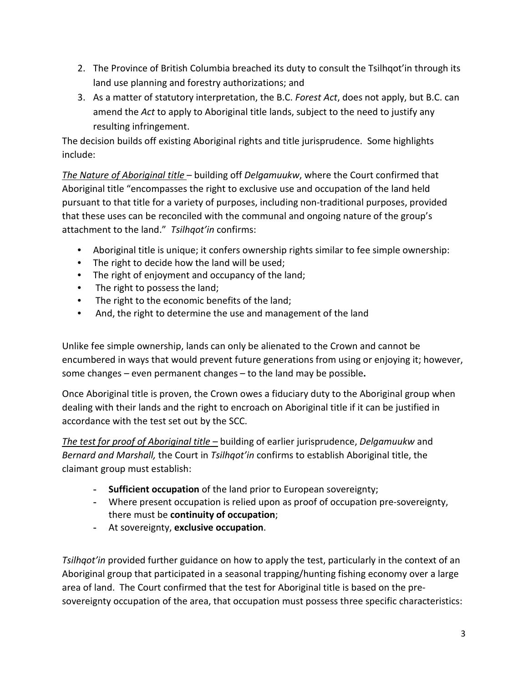- 2. The Province of British Columbia breached its duty to consult the Tsilhqot'in through its land use planning and forestry authorizations; and
- 3. As a matter of statutory interpretation, the B.C. *Forest Act*, does not apply, but B.C. can amend the *Act* to apply to Aboriginal title lands, subject to the need to justify any resulting infringement.

The decision builds off existing Aboriginal rights and title jurisprudence. Some highlights include:

*The Nature of Aboriginal title* – building off *Delgamuukw*, where the Court confirmed that Aboriginal title "encompasses the right to exclusive use and occupation of the land held pursuant to that title for a variety of purposes, including non-traditional purposes, provided that these uses can be reconciled with the communal and ongoing nature of the group's attachment to the land." *Tsilhqot'in* confirms:

- Aboriginal title is unique; it confers ownership rights similar to fee simple ownership:
- The right to decide how the land will be used;
- The right of enjoyment and occupancy of the land;
- The right to possess the land;
- The right to the economic benefits of the land;
- And, the right to determine the use and management of the land

Unlike fee simple ownership, lands can only be alienated to the Crown and cannot be encumbered in ways that would prevent future generations from using or enjoying it; however, some changes – even permanent changes – to the land may be possible**.** 

Once Aboriginal title is proven, the Crown owes a fiduciary duty to the Aboriginal group when dealing with their lands and the right to encroach on Aboriginal title if it can be justified in accordance with the test set out by the SCC.

*The test for proof of Aboriginal title* – building of earlier jurisprudence, *Delgamuukw* and *Bernard and Marshall,* the Court in *Tsilhqot'in* confirms to establish Aboriginal title, the claimant group must establish:

- **- Sufficient occupation** of the land prior to European sovereignty;
- **-** Where present occupation is relied upon as proof of occupation pre-sovereignty, there must be **continuity of occupation**;
- **-** At sovereignty, **exclusive occupation**.

*Tsilhqot'in* provided further guidance on how to apply the test, particularly in the context of an Aboriginal group that participated in a seasonal trapping/hunting fishing economy over a large area of land. The Court confirmed that the test for Aboriginal title is based on the presovereignty occupation of the area, that occupation must possess three specific characteristics: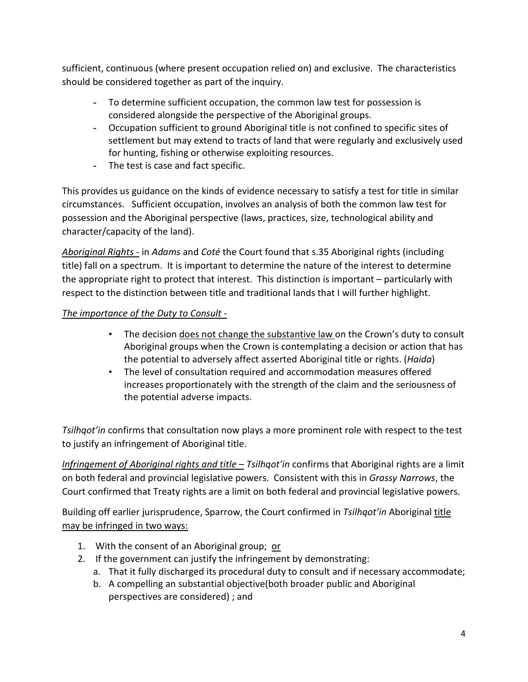sufficient, continuous (where present occupation relied on) and exclusive. The characteristics should be considered together as part of the inquiry.

- **-** To determine sufficient occupation, the common law test for possession is considered alongside the perspective of the Aboriginal groups.
- **-** Occupation sufficient to ground Aboriginal title is not confined to specific sites of settlement but may extend to tracts of land that were regularly and exclusively used for hunting, fishing or otherwise exploiting resources.
- **-** The test is case and fact specific.

This provides us guidance on the kinds of evidence necessary to satisfy a test for title in similar circumstances. Sufficient occupation, involves an analysis of both the common law test for possession and the Aboriginal perspective (laws, practices, size, technological ability and character/capacity of the land).

*Aboriginal Rights* - in *Adams* and *Coté* the Court found that s.35 Aboriginal rights (including title) fall on a spectrum. It is important to determine the nature of the interest to determine the appropriate right to protect that interest. This distinction is important – particularly with respect to the distinction between title and traditional lands that I will further highlight.

# *The importance of the Duty to Consult* -

- The decision does not change the substantive law on the Crown's duty to consult Aboriginal groups when the Crown is contemplating a decision or action that has the potential to adversely affect asserted Aboriginal title or rights. (*Haida*)
- The level of consultation required and accommodation measures offered increases proportionately with the strength of the claim and the seriousness of the potential adverse impacts.

*Tsilhqot'in* confirms that consultation now plays a more prominent role with respect to the test to justify an infringement of Aboriginal title.

*Infringement of Aboriginal rights and title – Tsilhqot'in* confirms that Aboriginal rights are a limit on both federal and provincial legislative powers. Consistent with this in *Grassy Narrows*, the Court confirmed that Treaty rights are a limit on both federal and provincial legislative powers.

Building off earlier jurisprudence, Sparrow, the Court confirmed in *Tsilhqot'in* Aboriginal title may be infringed in two ways:

- 1. With the consent of an Aboriginal group; or
- 2. If the government can justify the infringement by demonstrating:
	- a. That it fully discharged its procedural duty to consult and if necessary accommodate;
	- b. A compelling an substantial objective(both broader public and Aboriginal perspectives are considered) ; and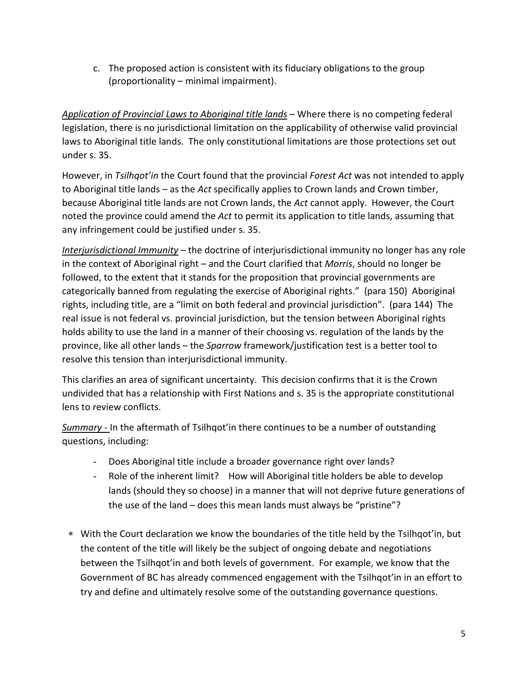c. The proposed action is consistent with its fiduciary obligations to the group (proportionality – minimal impairment).

*Application of Provincial Laws to Aboriginal title lands* – Where there is no competing federal legislation, there is no jurisdictional limitation on the applicability of otherwise valid provincial laws to Aboriginal title lands. The only constitutional limitations are those protections set out under s. 35.

However, in *Tsilhqot'in* the Court found that the provincial *Forest Act* was not intended to apply to Aboriginal title lands – as the *Act* specifically applies to Crown lands and Crown timber, because Aboriginal title lands are not Crown lands, the *Act* cannot apply. However, the Court noted the province could amend the *Act* to permit its application to title lands, assuming that any infringement could be justified under s. 35.

*Interjurisdictional Immunity* – the doctrine of interjurisdictional immunity no longer has any role in the context of Aboriginal right – and the Court clarified that *Morris*, should no longer be followed, to the extent that it stands for the proposition that provincial governments are categorically banned from regulating the exercise of Aboriginal rights." (para 150) Aboriginal rights, including title, are a "limit on both federal and provincial jurisdiction". (para 144) The real issue is not federal vs. provincial jurisdiction, but the tension between Aboriginal rights holds ability to use the land in a manner of their choosing vs. regulation of the lands by the province, like all other lands – the *Sparrow* framework/justification test is a better tool to resolve this tension than interjurisdictional immunity.

This clarifies an area of significant uncertainty. This decision confirms that it is the Crown undivided that has a relationship with First Nations and s. 35 is the appropriate constitutional lens to review conflicts.

*Summary -* In the aftermath of Tsilhqot'in there continues to be a number of outstanding questions, including:

- Does Aboriginal title include a broader governance right over lands?
- Role of the inherent limit? How will Aboriginal title holders be able to develop lands (should they so choose) in a manner that will not deprive future generations of the use of the land – does this mean lands must always be "pristine"?
- ∗ With the Court declaration we know the boundaries of the title held by the Tsilhqot'in, but the content of the title will likely be the subject of ongoing debate and negotiations between the Tsilhqot'in and both levels of government. For example, we know that the Government of BC has already commenced engagement with the Tsilhqot'in in an effort to try and define and ultimately resolve some of the outstanding governance questions.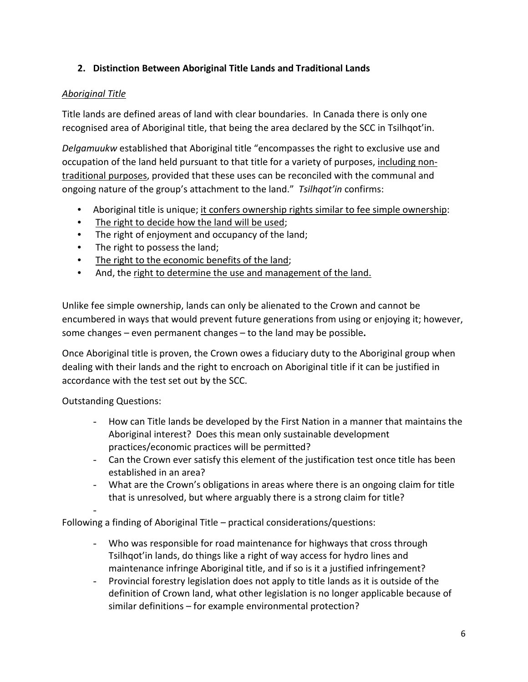# **2. Distinction Between Aboriginal Title Lands and Traditional Lands**

## *Aboriginal Title*

Title lands are defined areas of land with clear boundaries. In Canada there is only one recognised area of Aboriginal title, that being the area declared by the SCC in Tsilhqot'in.

*Delgamuukw* established that Aboriginal title "encompasses the right to exclusive use and occupation of the land held pursuant to that title for a variety of purposes, including nontraditional purposes, provided that these uses can be reconciled with the communal and ongoing nature of the group's attachment to the land." *Tsilhqot'in* confirms:

- Aboriginal title is unique; it confers ownership rights similar to fee simple ownership:
- The right to decide how the land will be used;
- The right of enjoyment and occupancy of the land;
- The right to possess the land;
- The right to the economic benefits of the land;
- And, the right to determine the use and management of the land.

Unlike fee simple ownership, lands can only be alienated to the Crown and cannot be encumbered in ways that would prevent future generations from using or enjoying it; however, some changes – even permanent changes – to the land may be possible**.** 

Once Aboriginal title is proven, the Crown owes a fiduciary duty to the Aboriginal group when dealing with their lands and the right to encroach on Aboriginal title if it can be justified in accordance with the test set out by the SCC.

Outstanding Questions:

-

- How can Title lands be developed by the First Nation in a manner that maintains the Aboriginal interest? Does this mean only sustainable development practices/economic practices will be permitted?
- Can the Crown ever satisfy this element of the justification test once title has been established in an area?
- What are the Crown's obligations in areas where there is an ongoing claim for title that is unresolved, but where arguably there is a strong claim for title?

Following a finding of Aboriginal Title – practical considerations/questions:

- Who was responsible for road maintenance for highways that cross through Tsilhqot'in lands, do things like a right of way access for hydro lines and maintenance infringe Aboriginal title, and if so is it a justified infringement?
- Provincial forestry legislation does not apply to title lands as it is outside of the definition of Crown land, what other legislation is no longer applicable because of similar definitions – for example environmental protection?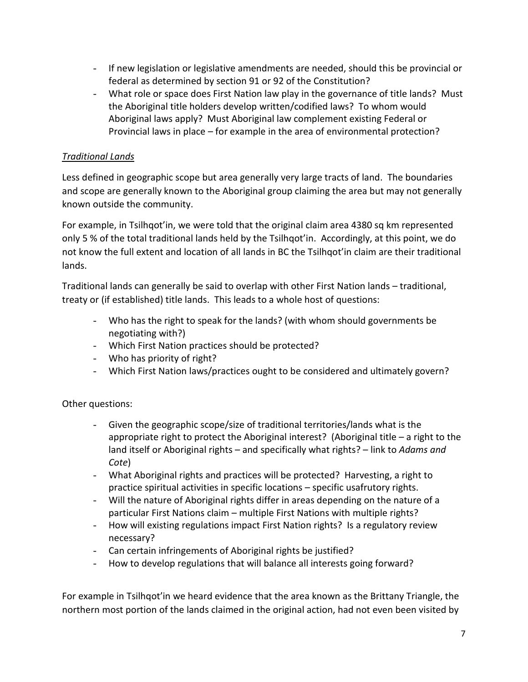- If new legislation or legislative amendments are needed, should this be provincial or federal as determined by section 91 or 92 of the Constitution?
- What role or space does First Nation law play in the governance of title lands? Must the Aboriginal title holders develop written/codified laws? To whom would Aboriginal laws apply? Must Aboriginal law complement existing Federal or Provincial laws in place – for example in the area of environmental protection?

## *Traditional Lands*

Less defined in geographic scope but area generally very large tracts of land. The boundaries and scope are generally known to the Aboriginal group claiming the area but may not generally known outside the community.

For example, in Tsilhqot'in, we were told that the original claim area 4380 sq km represented only 5 % of the total traditional lands held by the Tsilhqot'in. Accordingly, at this point, we do not know the full extent and location of all lands in BC the Tsilhqot'in claim are their traditional lands.

Traditional lands can generally be said to overlap with other First Nation lands – traditional, treaty or (if established) title lands. This leads to a whole host of questions:

- Who has the right to speak for the lands? (with whom should governments be negotiating with?)
- Which First Nation practices should be protected?
- Who has priority of right?
- Which First Nation laws/practices ought to be considered and ultimately govern?

# Other questions:

- Given the geographic scope/size of traditional territories/lands what is the appropriate right to protect the Aboriginal interest? (Aboriginal title – a right to the land itself or Aboriginal rights – and specifically what rights? – link to *Adams and Cote*)
- What Aboriginal rights and practices will be protected? Harvesting, a right to practice spiritual activities in specific locations – specific usafrutory rights.
- Will the nature of Aboriginal rights differ in areas depending on the nature of a particular First Nations claim – multiple First Nations with multiple rights?
- How will existing regulations impact First Nation rights? Is a regulatory review necessary?
- Can certain infringements of Aboriginal rights be justified?
- How to develop regulations that will balance all interests going forward?

For example in Tsilhqot'in we heard evidence that the area known as the Brittany Triangle, the northern most portion of the lands claimed in the original action, had not even been visited by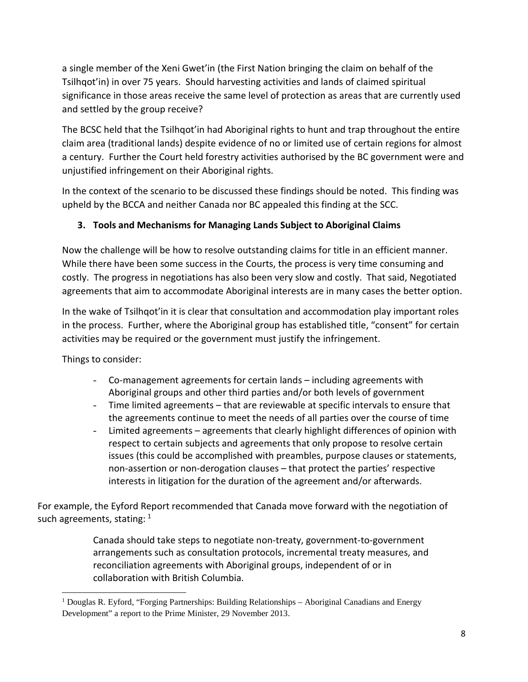a single member of the Xeni Gwet'in (the First Nation bringing the claim on behalf of the Tsilhqot'in) in over 75 years. Should harvesting activities and lands of claimed spiritual significance in those areas receive the same level of protection as areas that are currently used and settled by the group receive?

The BCSC held that the Tsilhqot'in had Aboriginal rights to hunt and trap throughout the entire claim area (traditional lands) despite evidence of no or limited use of certain regions for almost a century. Further the Court held forestry activities authorised by the BC government were and unjustified infringement on their Aboriginal rights.

In the context of the scenario to be discussed these findings should be noted. This finding was upheld by the BCCA and neither Canada nor BC appealed this finding at the SCC.

# **3. Tools and Mechanisms for Managing Lands Subject to Aboriginal Claims**

Now the challenge will be how to resolve outstanding claims for title in an efficient manner. While there have been some success in the Courts, the process is very time consuming and costly. The progress in negotiations has also been very slow and costly. That said, Negotiated agreements that aim to accommodate Aboriginal interests are in many cases the better option.

In the wake of Tsilhqot'in it is clear that consultation and accommodation play important roles in the process. Further, where the Aboriginal group has established title, "consent" for certain activities may be required or the government must justify the infringement.

Things to consider:

l

- Co-management agreements for certain lands including agreements with Aboriginal groups and other third parties and/or both levels of government
- Time limited agreements that are reviewable at specific intervals to ensure that the agreements continue to meet the needs of all parties over the course of time
- Limited agreements agreements that clearly highlight differences of opinion with respect to certain subjects and agreements that only propose to resolve certain issues (this could be accomplished with preambles, purpose clauses or statements, non-assertion or non-derogation clauses – that protect the parties' respective interests in litigation for the duration of the agreement and/or afterwards.

For example, the Eyford Report recommended that Canada move forward with the negotiation of such agreements, stating:  $1$ 

> Canada should take steps to negotiate non-treaty, government-to-government arrangements such as consultation protocols, incremental treaty measures, and reconciliation agreements with Aboriginal groups, independent of or in collaboration with British Columbia.

<span id="page-7-0"></span><sup>&</sup>lt;sup>1</sup> Douglas R. Eyford, "Forging Partnerships: Building Relationships – Aboriginal Canadians and Energy Development" a report to the Prime Minister, 29 November 2013.